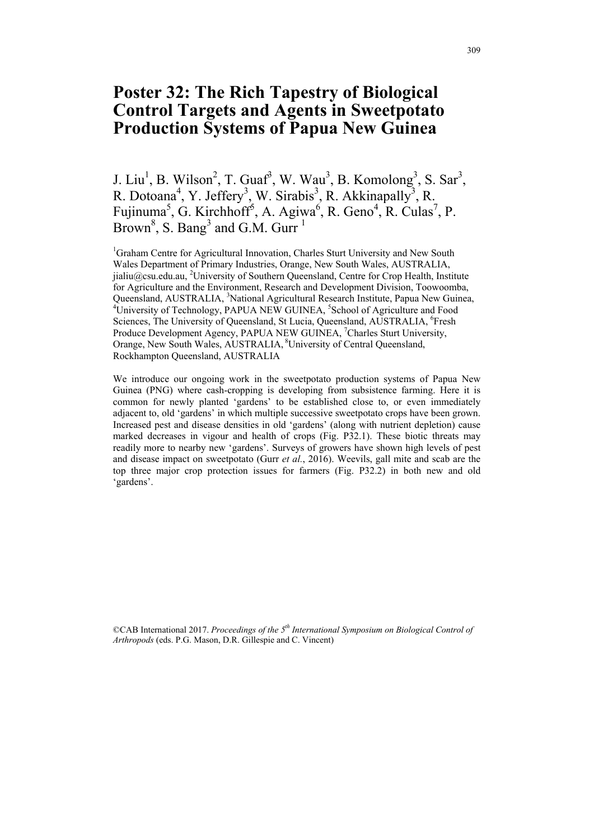## **Poster 32: The Rich Tapestry of Biological Control Targets and Agents in Sweetpotato Production Systems of Papua New Guinea**

J. Liu<sup>1</sup>, B. Wilson<sup>2</sup>, T. Guaf<sup>3</sup>, W. Wau<sup>3</sup>, B. Komolong<sup>3</sup>, S. Sar<sup>3</sup>, R. Dotoana<sup>4</sup>, Y. Jeffery<sup>3</sup>, W. Sirabis<sup>3</sup>, R. Akkinapally<sup>3</sup>, R. Fujinuma<sup>5</sup>, G. Kirchhoff<sup>5</sup>, A. Agiwa<sup>6</sup>, R. Geno<sup>4</sup>, R. Culas<sup>7</sup>, P. Brown<sup>8</sup>, S. Bang<sup>3</sup> and G.M. Gurr<sup>1</sup>

<sup>1</sup>Graham Centre for Agricultural Innovation, Charles Sturt University and New South Wales Department of Primary Industries, Orange, New South Wales, AUSTRALIA, [jialiu@csu.edu.au,](mailto:jialiu@csu.edu.au) <sup>2</sup>University of Southern Queensland, Centre for Crop Health, Institute for Agriculture and the Environment, Research and Development Division, Toowoomba, Queensland, AUSTRALIA, <sup>3</sup>National Agricultural Research Institute, Papua New Guinea, <sup>4</sup>University of Technology, PAPUA NEW GUINEA, <sup>5</sup>School of Agriculture and Eood University of Technology, PAPUA NEW GUINEA, <sup>5</sup>School of Agriculture and Food Sciences, The University of Queensland, St Lucia, Queensland, AUSTRALIA, <sup>6</sup>Fresh Produce Development Agency, PAPUA NEW GUINEA, <sup>7</sup>Charles Sturt University, Orange, New South Wales, AUSTRALIA, 8University of Central Queensland, Rockhampton Queensland, AUSTRALIA

We introduce our ongoing work in the sweetpotato production systems of Papua New Guinea (PNG) where cash-cropping is developing from subsistence farming. Here it is common for newly planted 'gardens' to be established close to, or even immediately adjacent to, old 'gardens' in which multiple successive sweetpotato crops have been grown. Increased pest and disease densities in old 'gardens' (along with nutrient depletion) cause marked decreases in vigour and health of crops (Fig. P32.1). These biotic threats may readily more to nearby new 'gardens'. Surveys of growers have shown high levels of pest and disease impact on sweetpotato (Gurr *et al.*, 2016). Weevils, gall mite and scab are the top three major crop protection issues for farmers (Fig. P32.2) in both new and old 'gardens'.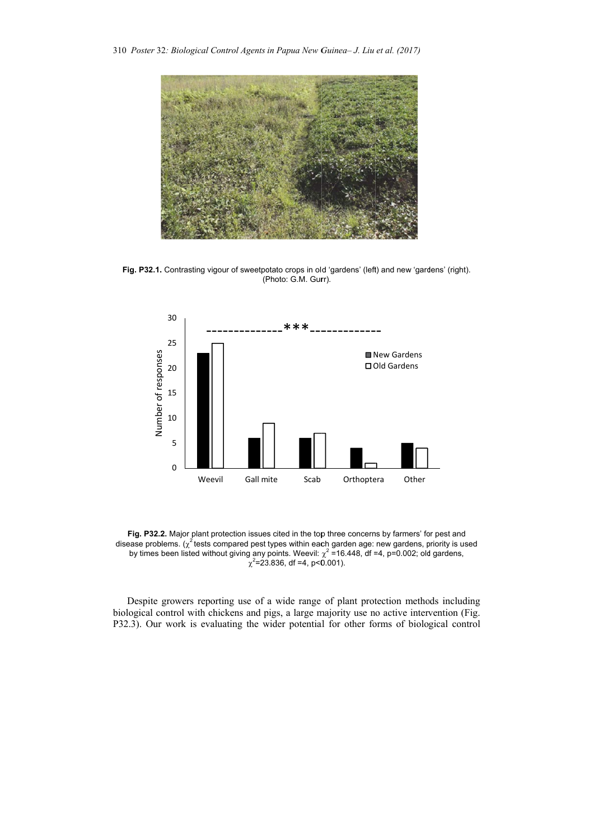

Fig. P32.1. Contrasting vigour of sweetpotato crops in old 'gardens' (left) and new 'gardens' (right). (Photo: G.M. Gurr).



Fig. P32.2. Major plant protection issues cited in the top three concerns by farmers' for pest and disease problems.  $\chi^2$  tests compared pest types within each garden age: new gardens, priority is used by times been listed without giving any points. Weevil:  $\chi^2$  =16.448, df =4, p=0.002; old gardens,  $\chi^2$ =23.836, df =4, p<0.001).

Despite growers reporting use of a wide range of plant protection methods including biological control with chickens and pigs, a large majority use no active intervention (Fig. r work is evaluating the wider potential for other forms of biological control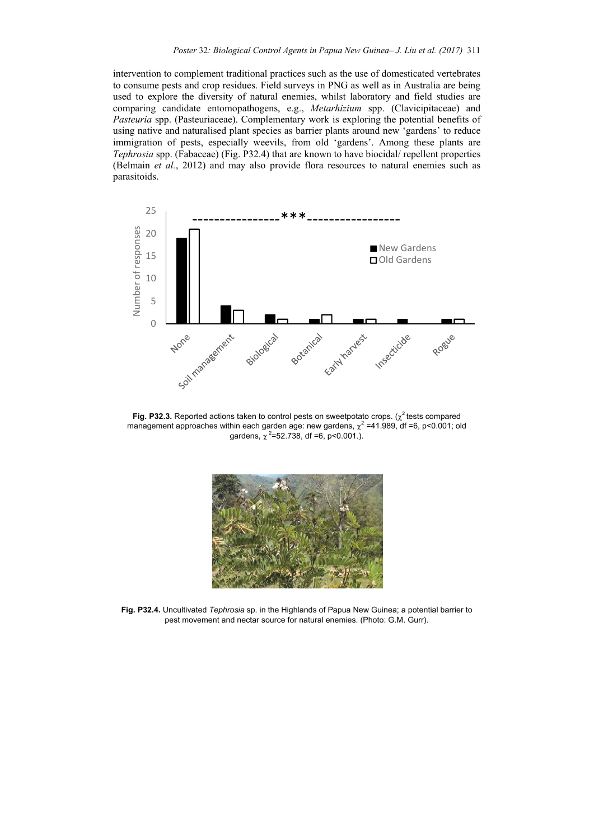intervention to complement traditional practices such as the use of domesticated vertebrates to consume pests and crop residues. Field surveys in PNG as well as in Australia are being used to explore the diversity of natural enemies, whilst laboratory and field studies are comparing candidate entomopathogens, e.g., *Metarhizium* spp. (Clavicipitaceae) and *Pasteuria* spp. (Pasteuriaceae). Complementary work is exploring the potential benefits of using native and naturalised plant species as barrier plants around new 'gardens' to reduce immigration of pests, especially weevils, from old 'gardens'. Among these plants are *Tephrosia* spp. (Fabaceae) (Fig. P32.4) that are known to have biocidal/ repellent properties (Belmain *et al.*, 2012) and may also provide flora resources to natural enemies such as parasitoids.



**Fig. P32.3.** Reported actions taken to control pests on sweetpotato crops.  $(\chi^2$  tests compared management approaches within each garden age: new gardens,  $\chi^2$  =41.989, df =6, p<0.001; old gardens,  $\chi^2$ =52.738, df =6, p<0.001.).



**Fig. P32.4.** Uncultivated *Tephrosia* sp. in the Highlands of Papua New Guinea; a potential barrier to pest movement and nectar source for natural enemies. (Photo: G.M. Gurr).